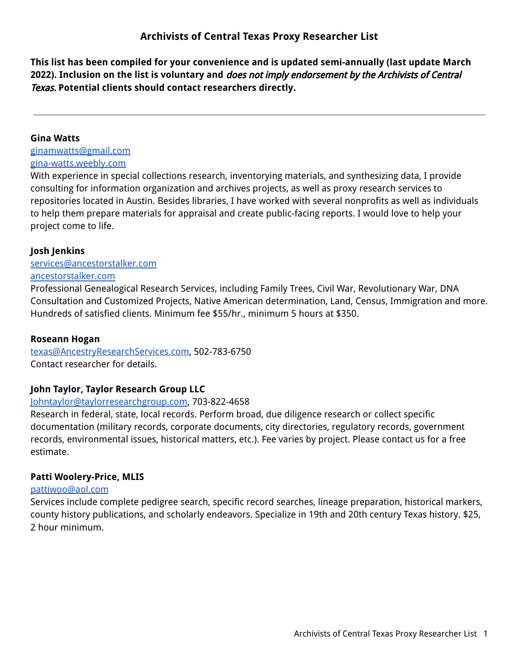**This list has been compiled for your convenience and is updated semi-annually (last update March 2022). Inclusion on the list is voluntary and** does not imply endorsement by the Archivists of Central Texas. **Potential clients should contact researchers directly.**

## **Gina Watts**

[ginamwatts@gmail.com](mailto:ginamwatts@gmail.com) [gina-watts.weebly.com](http://gina-watts.weebly.com/)

With experience in special collections research, inventorying materials, and synthesizing data, I provide consulting for information organization and archives projects, as well as proxy research services to repositories located in Austin. Besides libraries, I have worked with several nonprofits as well as individuals to help them prepare materials for appraisal and create public-facing reports. I would love to help your project come to life.

# **Josh Jenkins**

[services@ancestorstalker.com](mailto:services@ancestorstalker.com) [ancestorstalker.com](http://www.ancestorstalker.com)

Professional Genealogical Research Services, including Family Trees, Civil War, Revolutionary War, DNA Consultation and Customized Projects, Native American determination, Land, Census, Immigration and more. Hundreds of satisfied clients. Minimum fee \$55/hr., minimum 5 hours at \$350.

# **Roseann Hogan**

[texas@AncestryResearchServices.com](mailto:texas@AncestryResearchServices.com), 502-783-6750 Contact researcher for details.

# **John Taylor, Taylor Research Group LLC**

[Johntaylor@taylorresearchgroup.com](mailto:Johntaylor@taylorresearchgroup.com), 703-822-4658

Research in federal, state, local records. Perform broad, due diligence research or collect specific documentation (military records, corporate documents, city directories, regulatory records, government records, environmental issues, historical matters, etc.). Fee varies by project. Please contact us for a free estimate.

# **Patti Woolery-Price, MLIS**

## [pattiwoo@aol.com](mailto:pattiwoo@aol.com)

Services include complete pedigree search, specific record searches, lineage preparation, historical markers, county history publications, and scholarly endeavors. Specialize in 19th and 20th century Texas history. \$25, 2 hour minimum.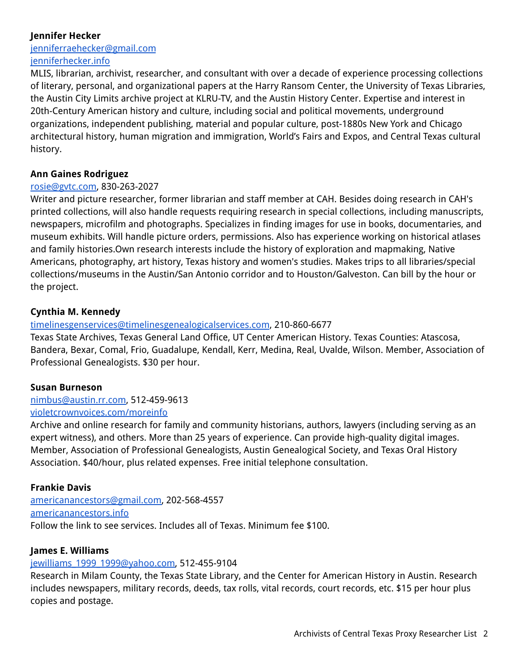# **Jennifer Hecker**

[jenniferraehecker@gmail.com](mailto:jenniferraehecker@gmail.com) [jenniferhecker.info](http://www.jenniferhecker.info)

MLIS, librarian, archivist, researcher, and consultant with over a decade of experience processing collections of literary, personal, and organizational papers at the Harry Ransom Center, the University of Texas Libraries, the Austin City Limits archive project at KLRU-TV, and the Austin History Center. Expertise and interest in 20th-Century American history and culture, including social and political movements, underground organizations, independent publishing, material and popular culture, post-1880s New York and Chicago architectural history, human migration and immigration, World's Fairs and Expos, and Central Texas cultural history.

#### **Ann Gaines Rodriguez**

#### [rosie@gvtc.com,](mailto:rosie@gvtc.com) 830-263-2027

Writer and picture researcher, former librarian and staff member at CAH. Besides doing research in CAH's printed collections, will also handle requests requiring research in special collections, including manuscripts, newspapers, microfilm and photographs. Specializes in finding images for use in books, documentaries, and museum exhibits. Will handle picture orders, permissions. Also has experience working on historical atlases and family histories.Own research interests include the history of exploration and mapmaking, Native Americans, photography, art history, Texas history and women's studies. Makes trips to all libraries/special collections/museums in the Austin/San Antonio corridor and to Houston/Galveston. Can bill by the hour or the project.

## **Cynthia M. Kennedy**

## [timelinesgenservices@timelinesgenealogicalservices.com](mailto:timelinesgenservices@timelinesgenealogicalservices.com), 210-860-6677

Texas State Archives, Texas General Land Office, UT Center American History. Texas Counties: Atascosa, Bandera, Bexar, Comal, Frio, Guadalupe, Kendall, Kerr, Medina, Real, Uvalde, Wilson. Member, Association of Professional Genealogists. \$30 per hour.

#### **Susan Burneson**

[nimbus@austin.rr.com,](mailto:nimbus@austin.rr.com) 512-459-9613 [violetcrownvoices.com/moreinfo](http://www.violetcrownvoices.com/moreinfo)

Archive and online research for family and community historians, authors, lawyers (including serving as an expert witness), and others. More than 25 years of experience. Can provide high-quality digital images. Member, Association of Professional Genealogists, Austin Genealogical Society, and Texas Oral History Association. \$40/hour, plus related expenses. Free initial telephone consultation.

## **Frankie Davis**

[americanancestors@gmail.com,](mailto:americanancestors@gmail.com) 202-568-4557 [americanancestors.info](http://www.americanancestors.info) Follow the link to see services. Includes all of Texas. Minimum fee \$100.

#### **James E. Williams**

## jewilliams 1999 1999@yahoo.com, 512-455-9104

Research in Milam County, the Texas State Library, and the Center for American History in Austin. Research includes newspapers, military records, deeds, tax rolls, vital records, court records, etc. \$15 per hour plus copies and postage.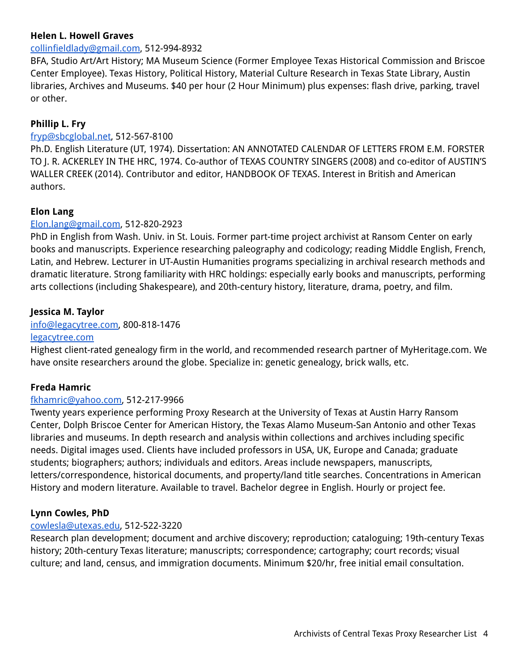## **Helen L. Howell Graves**

#### [collinfieldlady@gmail.com](mailto:collinfieldlady@gmail.com), 512-994-8932

BFA, Studio Art/Art History; MA Museum Science (Former Employee Texas Historical Commission and Briscoe Center Employee). Texas History, Political History, Material Culture Research in Texas State Library, Austin libraries, Archives and Museums. \$40 per hour (2 Hour Minimum) plus expenses: flash drive, parking, travel or other.

# **Phillip L. Fry**

## [fryp@sbcglobal.net,](mailto:fryp@sbcglobal.net) 512-567-8100

Ph.D. English Literature (UT, 1974). Dissertation: AN ANNOTATED CALENDAR OF LETTERS FROM E.M. FORSTER TO J. R. ACKERLEY IN THE HRC, 1974. Co-author of TEXAS COUNTRY SINGERS (2008) and co-editor of AUSTIN'S WALLER CREEK (2014). Contributor and editor, HANDBOOK OF TEXAS. Interest in British and American authors.

## **Elon Lang**

#### [Elon.lang@gmail.com](mailto:Elon.lang@gmail.com), 512-820-2923

PhD in English from Wash. Univ. in St. Louis. Former part-time project archivist at Ransom Center on early books and manuscripts. Experience researching paleography and codicology; reading Middle English, French, Latin, and Hebrew. Lecturer in UT-Austin Humanities programs specializing in archival research methods and dramatic literature. Strong familiarity with HRC holdings: especially early books and manuscripts, performing arts collections (including Shakespeare), and 20th-century history, literature, drama, poetry, and film.

#### **Jessica M. Taylor**

#### [info@legacytree.com,](mailto:info@legacytree.com) 800-818-1476

#### [legacytree.com](https://legacytree.com)

Highest client-rated genealogy firm in the world, and recommended research partner of MyHeritage.com. We have onsite researchers around the globe. Specialize in: genetic genealogy, brick walls, etc.

## **Freda Hamric**

#### [fkhamric@yahoo.com,](mailto:fkhamric@yahoo.com) 512-217-9966

Twenty years experience performing Proxy Research at the University of Texas at Austin Harry Ransom Center, Dolph Briscoe Center for American History, the Texas Alamo Museum-San Antonio and other Texas libraries and museums. In depth research and analysis within collections and archives including specific needs. Digital images used. Clients have included professors in USA, UK, Europe and Canada; graduate students; biographers; authors; individuals and editors. Areas include newspapers, manuscripts, letters/correspondence, historical documents, and property/land title searches. Concentrations in American History and modern literature. Available to travel. Bachelor degree in English. Hourly or project fee.

## **Lynn Cowles, PhD**

#### [cowlesla@utexas.edu,](mailto:cowlesla@utexas.edu) 512-522-3220

Research plan development; document and archive discovery; reproduction; cataloguing; 19th-century Texas history; 20th-century Texas literature; manuscripts; correspondence; cartography; court records; visual culture; and land, census, and immigration documents. Minimum \$20/hr, free initial email consultation.